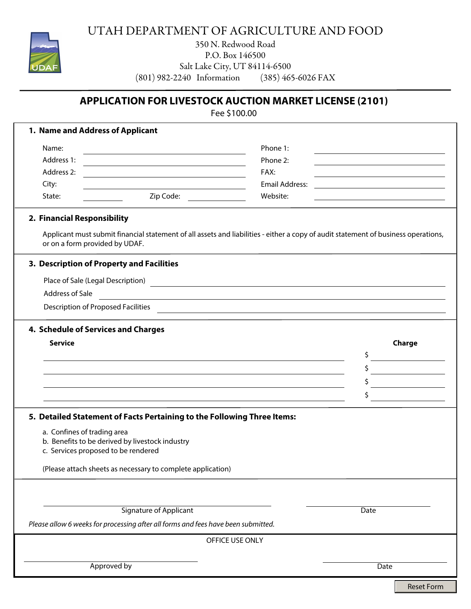

## UTAH DEPARTMENT OF AGRICULTURE AND FOOD

350 N. Redwood Road P.O. Box 146500 Salt Lake City, UT 84114-6500<br>240 Information (385) 465-6026 FAX  $(801)$  982-2240 Information

## **APPLICATION FOR LIVESTOCK AUCTION MARKET LICENSE (2101)**

Fee \$100.00

| 1. Name and Address of Applicant                                                                   |                                                                                                                                    |
|----------------------------------------------------------------------------------------------------|------------------------------------------------------------------------------------------------------------------------------------|
| Name:                                                                                              | Phone 1:                                                                                                                           |
| Address 1:<br>the control of the control of the control of the control of the control of           | Phone 2:                                                                                                                           |
| Address 2:<br><u> 1980 - Johann Barn, amerikansk politiker (* 1908)</u>                            | FAX:                                                                                                                               |
| City:<br>the control of the control of the control of the control of the control of the control of | <b>Email Address:</b>                                                                                                              |
| Zip Code:<br>State:                                                                                | Website:                                                                                                                           |
| 2. Financial Responsibility                                                                        |                                                                                                                                    |
| or on a form provided by UDAF.                                                                     | Applicant must submit financial statement of all assets and liabilities - either a copy of audit statement of business operations, |
| 3. Description of Property and Facilities                                                          |                                                                                                                                    |
|                                                                                                    |                                                                                                                                    |
| Address of Sale                                                                                    | <u> 1989 - Johann Barn, amerikansk politiker (d. 1989)</u>                                                                         |
| Description of Proposed Facilities                                                                 | <u> 1989 - Johann Stein, mars and de Britain (b. 1989)</u>                                                                         |
|                                                                                                    |                                                                                                                                    |
| 4. Schedule of Services and Charges                                                                |                                                                                                                                    |
| <b>Service</b>                                                                                     | Charge                                                                                                                             |
|                                                                                                    | \$                                                                                                                                 |
|                                                                                                    | \$                                                                                                                                 |
|                                                                                                    | \$                                                                                                                                 |
| <u> 1989 - Johann Stoff, amerikansk politiker (d. 1989)</u>                                        | \$                                                                                                                                 |
| 5. Detailed Statement of Facts Pertaining to the Following Three Items:                            |                                                                                                                                    |
| a. Confines of trading area                                                                        |                                                                                                                                    |
| b. Benefits to be derived by livestock industry                                                    |                                                                                                                                    |
| c. Services proposed to be rendered                                                                |                                                                                                                                    |
| (Please attach sheets as necessary to complete application)                                        |                                                                                                                                    |
|                                                                                                    |                                                                                                                                    |
|                                                                                                    |                                                                                                                                    |
| <b>Signature of Applicant</b>                                                                      | Date                                                                                                                               |
| Please allow 6 weeks for processing after all forms and fees have been submitted.                  |                                                                                                                                    |
| OFFICE USE ONLY                                                                                    |                                                                                                                                    |
|                                                                                                    |                                                                                                                                    |
| Approved by<br>Date                                                                                |                                                                                                                                    |
|                                                                                                    |                                                                                                                                    |